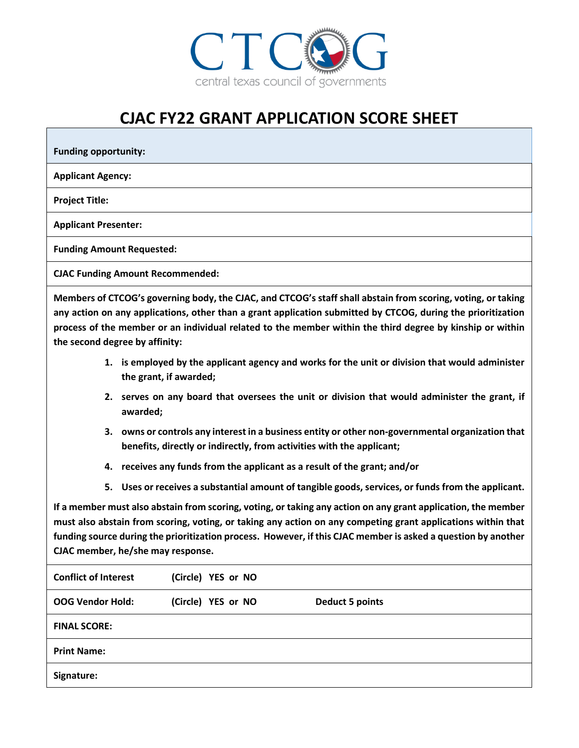

## **CJAC FY22 GRANT APPLICATION SCORE SHEET**

**Funding opportunity:** 

**Applicant Agency:**

**Project Title:**

**Applicant Presenter:**

**Funding Amount Requested:**

**CJAC Funding Amount Recommended:**

**Members of CTCOG's governing body, the CJAC, and CTCOG's staff shall abstain from scoring, voting, or taking any action on any applications, other than a grant application submitted by CTCOG, during the prioritization process of the member or an individual related to the member within the third degree by kinship or within the second degree by affinity:**

- **1. is employed by the applicant agency and works for the unit or division that would administer the grant, if awarded;**
- **2. serves on any board that oversees the unit or division that would administer the grant, if awarded;**
- **3. owns or controls any interest in a business entity or other non-governmental organization that benefits, directly or indirectly, from activities with the applicant;**
- **4. receives any funds from the applicant as a result of the grant; and/or**
- **5. Uses or receives a substantial amount of tangible goods, services, or funds from the applicant.**

**If a member must also abstain from scoring, voting, or taking any action on any grant application, the member must also abstain from scoring, voting, or taking any action on any competing grant applications within that funding source during the prioritization process. However, if this CJAC member is asked a question by another CJAC member, he/she may response.**

| <b>Conflict of Interest</b> | (Circle) YES or NO |                        |
|-----------------------------|--------------------|------------------------|
| <b>OOG Vendor Hold:</b>     | (Circle) YES or NO | <b>Deduct 5 points</b> |
| <b>FINAL SCORE:</b>         |                    |                        |
| <b>Print Name:</b>          |                    |                        |
| Signature:                  |                    |                        |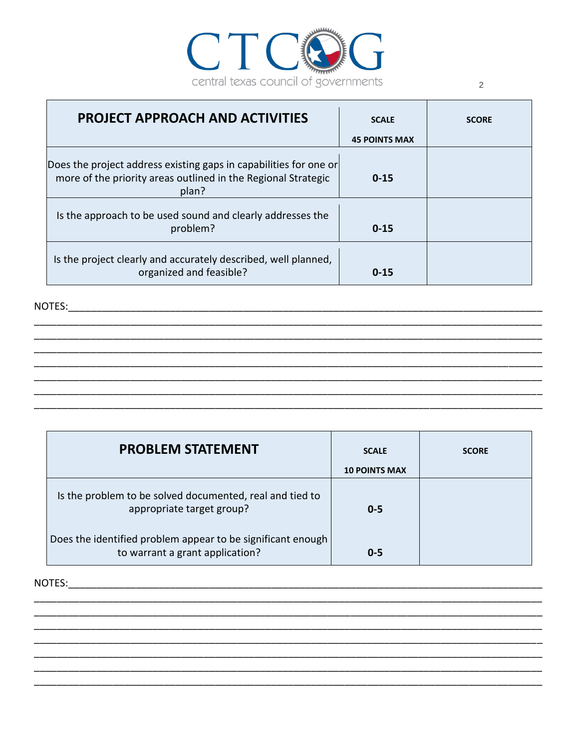

| <b>PROJECT APPROACH AND ACTIVITIES</b>                                                                                                      | <b>SCALE</b>         | <b>SCORE</b> |
|---------------------------------------------------------------------------------------------------------------------------------------------|----------------------|--------------|
|                                                                                                                                             | <b>45 POINTS MAX</b> |              |
| Does the project address existing gaps in capabilities for one or<br>more of the priority areas outlined in the Regional Strategic<br>plan? | $0 - 15$             |              |
| Is the approach to be used sound and clearly addresses the<br>problem?                                                                      | $0 - 15$             |              |
| Is the project clearly and accurately described, well planned,<br>organized and feasible?                                                   | $0 - 15$             |              |

NOTES:

| <b>PROBLEM STATEMENT</b>                                                                       | <b>SCALE</b><br><b>10 POINTS MAX</b> | <b>SCORE</b> |
|------------------------------------------------------------------------------------------------|--------------------------------------|--------------|
| Is the problem to be solved documented, real and tied to<br>appropriate target group?          | $0 - 5$                              |              |
| Does the identified problem appear to be significant enough<br>to warrant a grant application? | $0 - 5$                              |              |

NOTES: WE ARREST AND THE RESIDENCE OF A STRUCK STRUCK OF A STRUCK STRUCK OF A STRUCK STRUCK OF A STRUCK STRUCK

 $\overline{\phantom{a}}$ 

 $\mathbf{r}$